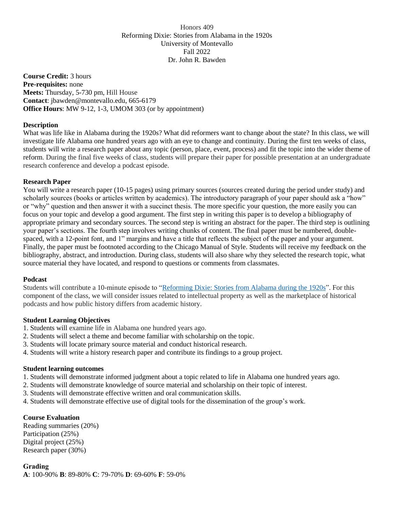Honors 409 Reforming Dixie: Stories from Alabama in the 1920s University of Montevallo Fall 2022 Dr. John R. Bawden

**Course Credit:** 3 hours **Pre-requisites:** none **Meets:** Thursday, 5-730 pm, Hill House **Contact**: [jbawden@montevallo.edu,](mailto:jbawden@montevallo.edu) 665-6179 **Office Hours**: MW 9-12, 1-3, UMOM 303 (or by appointment)

## **Description**

What was life like in Alabama during the 1920s? What did reformers want to change about the state? In this class, we will investigate life Alabama one hundred years ago with an eye to change and continuity. During the first ten weeks of class, students will write a research paper about any topic (person, place, event, process) and fit the topic into the wider theme of reform. During the final five weeks of class, students will prepare their paper for possible presentation at an undergraduate research conference and develop a podcast episode.

### **Research Paper**

You will write a research paper (10-15 pages) using primary sources (sources created during the period under study) and scholarly sources (books or articles written by academics). The introductory paragraph of your paper should ask a "how" or "why" question and then answer it with a succinct thesis. The more specific your question, the more easily you can focus on your topic and develop a good argument. The first step in writing this paper is to develop a bibliography of appropriate primary and secondary sources. The second step is writing an abstract for the paper. The third step is outlining your paper's sections. The fourth step involves writing chunks of content. The final paper must be numbered, doublespaced, with a 12-point font, and 1" margins and have a title that reflects the subject of the paper and your argument. Finally, the paper must be footnoted according to the Chicago Manual of Style. Students will receive my feedback on the bibliography, abstract, and introduction. During class, students will also share why they selected the research topic, what source material they have located, and respond to questions or comments from classmates.

#### **Podcast**

Students will contribute a 10-minute episode to ["Reforming Dixie: Stories from Alabama during the 1920s"](https://open.spotify.com/show/0jSApGkTTbwFchzgyZoyeA). For this component of the class, we will consider issues related to intellectual property as well as the marketplace of historical podcasts and how public history differs from academic history.

#### **Student Learning Objectives**

- 1. Students will examine life in Alabama one hundred years ago.
- 2. Students will select a theme and become familiar with scholarship on the topic.
- 3. Students will locate primary source material and conduct historical research.
- 4. Students will write a history research paper and contribute its findings to a group project.

#### **Student learning outcomes**

- 1. Students will demonstrate informed judgment about a topic related to life in Alabama one hundred years ago.
- 2. Students will demonstrate knowledge of source material and scholarship on their topic of interest.
- 3. Students will demonstrate effective written and oral communication skills.
- 4. Students will demonstrate effective use of digital tools for the dissemination of the group's work.

# **Course Evaluation**

Reading summaries (20%) Participation (25%) Digital project (25%) Research paper (30%)

# **Grading**

**A**: 100-90% **B**: 89-80% **C**: 79-70% **D**: 69-60% **F**: 59-0%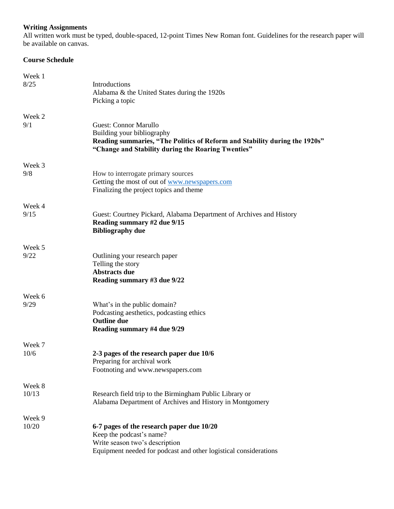# **Writing Assignments**

All written work must be typed, double-spaced, 12-point Times New Roman font. Guidelines for the research paper will be available on canvas.

# **Course Schedule**

| Week 1 |                                                                                                                                                                                                |
|--------|------------------------------------------------------------------------------------------------------------------------------------------------------------------------------------------------|
| 8/25   | Introductions<br>Alabama & the United States during the 1920s<br>Picking a topic                                                                                                               |
| Week 2 |                                                                                                                                                                                                |
| 9/1    | <b>Guest: Connor Marullo</b><br>Building your bibliography<br>Reading summaries, "The Politics of Reform and Stability during the 1920s"<br>"Change and Stability during the Roaring Twenties" |
| Week 3 |                                                                                                                                                                                                |
| 9/8    | How to interrogate primary sources<br>Getting the most of out of www.newspapers.com<br>Finalizing the project topics and theme                                                                 |
| Week 4 |                                                                                                                                                                                                |
| 9/15   | Guest: Courtney Pickard, Alabama Department of Archives and History<br>Reading summary #2 due 9/15<br><b>Bibliography due</b>                                                                  |
| Week 5 |                                                                                                                                                                                                |
| 9/22   | Outlining your research paper<br>Telling the story<br><b>Abstracts due</b><br>Reading summary #3 due 9/22                                                                                      |
| Week 6 |                                                                                                                                                                                                |
| 9/29   | What's in the public domain?<br>Podcasting aesthetics, podcasting ethics<br><b>Outline due</b><br>Reading summary #4 due 9/29                                                                  |
| Week 7 |                                                                                                                                                                                                |
| 10/6   | 2-3 pages of the research paper due 10/6<br>Preparing for archival work<br>Footnoting and www.newspapers.com                                                                                   |
| Week 8 |                                                                                                                                                                                                |
| 10/13  | Research field trip to the Birmingham Public Library or<br>Alabama Department of Archives and History in Montgomery                                                                            |
| Week 9 |                                                                                                                                                                                                |
| 10/20  | 6-7 pages of the research paper due 10/20<br>Keep the podcast's name?<br>Write season two's description<br>Equipment needed for podcast and other logistical considerations                    |